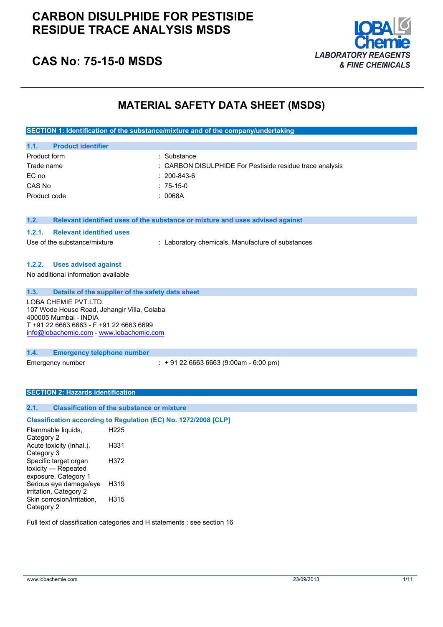## **CARBON DISULPHIDE FOR PESTISIDE RESIDUE TRACE ANALYSIS MSDS**



# **CAS No: 75-15-0 MSDS**

## **MATERIAL SAFETY DATA SHEET (MSDS)**

| SECTION 1: Identification of the substance/mixture and of the company/undertaking |                                                                               |  |  |
|-----------------------------------------------------------------------------------|-------------------------------------------------------------------------------|--|--|
|                                                                                   |                                                                               |  |  |
| <b>Product identifier</b><br>1.1.                                                 |                                                                               |  |  |
| Product form                                                                      | : Substance                                                                   |  |  |
| Trade name                                                                        | : CARBON DISULPHIDE For Pestiside residue trace analysis                      |  |  |
| EC no                                                                             | $: 200 - 843 - 6$                                                             |  |  |
| CAS No                                                                            | $:75-15-0$                                                                    |  |  |
| Product code                                                                      | : 0068A                                                                       |  |  |
|                                                                                   |                                                                               |  |  |
|                                                                                   |                                                                               |  |  |
| 1.2.                                                                              | Relevant identified uses of the substance or mixture and uses advised against |  |  |
| <b>Relevant identified uses</b><br>1.2.1.                                         |                                                                               |  |  |
| Use of the substance/mixture                                                      | : Laboratory chemicals, Manufacture of substances                             |  |  |
|                                                                                   |                                                                               |  |  |
| <b>Uses advised against</b><br>1.2.2.                                             |                                                                               |  |  |

No additional information available

**1.3. Details of the supplier of the safety data sheet**

LOBA CHEMIE PVT.LTD. 107 Wode House Road, Jehangir Villa, Colaba 400005 Mumbai - INDIA T +91 22 6663 6663 - F +91 22 6663 6699 [info@lobachemie.com](mailto:info@lobachemie.com) - <www.lobachemie.com>

**1.4. Emergency telephone number**

Emergency number : + 91 22 6663 6663 (9:00am - 6:00 pm)

#### **SECTION 2: Hazards identification**

### **2.1. Classification of the substance or mixture**

### **Classification according to Regulation (EC) No. 1272/2008 [CLP]**

Flammable liquids, Category 2 H225 Acute toxicity (inhal.), Category 3 H331 Specific target organ toxicity — Repeated exposure, Category 1 H372 Serious eye damage/eye irritation, Category 2 H319 Skin corrosion/irritation, Category 2 H315

Full text of classification categories and H statements : see section 16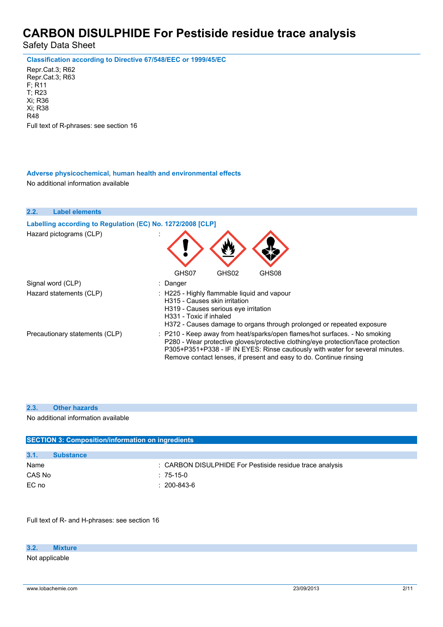Safety Data Sheet

**Classification according to Directive 67/548/EEC or 1999/45/EC**

Repr.Cat.3; R62 Repr.Cat.3; R63 F; R11 T; R23 Xi; R36 Xi; R38 R48 Full text of R-phrases: see section 16

**Adverse physicochemical, human health and environmental effects** No additional information available



### **2.3. Other hazards**

No additional information available

| <b>SECTION 3: Composition/information on ingredients</b> |                                                          |  |  |  |
|----------------------------------------------------------|----------------------------------------------------------|--|--|--|
|                                                          |                                                          |  |  |  |
| 3.1.                                                     | <b>Substance</b>                                         |  |  |  |
| Name                                                     | : CARBON DISULPHIDE For Pestiside residue trace analysis |  |  |  |
| CAS No                                                   | $:75-15-0$                                               |  |  |  |
| EC no                                                    | $: 200 - 843 - 6$                                        |  |  |  |

Full text of R- and H-phrases: see section 16

**3.2. Mixture**

Not applicable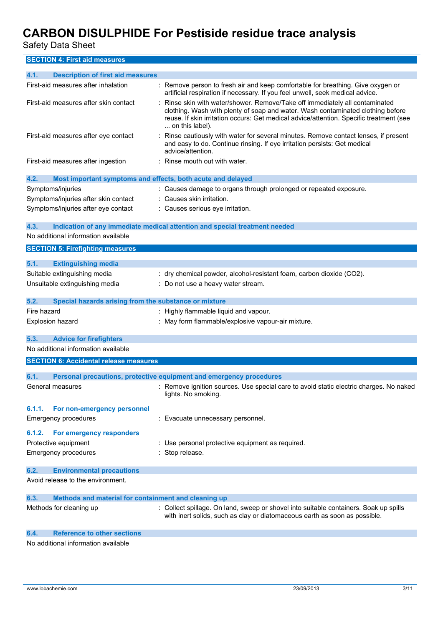Safety Data Sheet

**SECTION 4: First aid measures**

| 4.1.        | <b>Description of first aid measures</b>                    |                                                                                                                                                                                                                                                                             |
|-------------|-------------------------------------------------------------|-----------------------------------------------------------------------------------------------------------------------------------------------------------------------------------------------------------------------------------------------------------------------------|
|             | First-aid measures after inhalation                         | : Remove person to fresh air and keep comfortable for breathing. Give oxygen or<br>artificial respiration if necessary. If you feel unwell, seek medical advice.                                                                                                            |
|             | First-aid measures after skin contact                       | Rinse skin with water/shower. Remove/Take off immediately all contaminated<br>clothing. Wash with plenty of soap and water. Wash contaminated clothing before<br>reuse. If skin irritation occurs: Get medical advice/attention. Specific treatment (see<br>on this label). |
|             | First-aid measures after eye contact                        | Rinse cautiously with water for several minutes. Remove contact lenses, if present<br>and easy to do. Continue rinsing. If eye irritation persists: Get medical<br>advice/attention.                                                                                        |
|             | First-aid measures after ingestion                          | : Rinse mouth out with water.                                                                                                                                                                                                                                               |
| 4.2.        | Most important symptoms and effects, both acute and delayed |                                                                                                                                                                                                                                                                             |
|             | Symptoms/injuries                                           | : Causes damage to organs through prolonged or repeated exposure.                                                                                                                                                                                                           |
|             | Symptoms/injuries after skin contact                        | : Causes skin irritation.                                                                                                                                                                                                                                                   |
|             | Symptoms/injuries after eye contact                         | : Causes serious eye irritation.                                                                                                                                                                                                                                            |
| 4.3.        |                                                             | Indication of any immediate medical attention and special treatment needed                                                                                                                                                                                                  |
|             | No additional information available                         |                                                                                                                                                                                                                                                                             |
|             | <b>SECTION 5: Firefighting measures</b>                     |                                                                                                                                                                                                                                                                             |
| 5.1.        | <b>Extinguishing media</b>                                  |                                                                                                                                                                                                                                                                             |
|             | Suitable extinguishing media                                | : dry chemical powder, alcohol-resistant foam, carbon dioxide (CO2).                                                                                                                                                                                                        |
|             | Unsuitable extinguishing media                              | : Do not use a heavy water stream.                                                                                                                                                                                                                                          |
| 5.2.        | Special hazards arising from the substance or mixture       |                                                                                                                                                                                                                                                                             |
| Fire hazard |                                                             | : Highly flammable liquid and vapour.                                                                                                                                                                                                                                       |
|             | Explosion hazard                                            | : May form flammable/explosive vapour-air mixture.                                                                                                                                                                                                                          |
| 5.3.        | <b>Advice for firefighters</b>                              |                                                                                                                                                                                                                                                                             |
|             | No additional information available                         |                                                                                                                                                                                                                                                                             |
|             | <b>SECTION 6: Accidental release measures</b>               |                                                                                                                                                                                                                                                                             |
| 6.1.        |                                                             | Personal precautions, protective equipment and emergency procedures                                                                                                                                                                                                         |
|             | General measures                                            | : Remove ignition sources. Use special care to avoid static electric charges. No naked<br>lights. No smoking.                                                                                                                                                               |
| 6.1.1.      | For non-emergency personnel                                 |                                                                                                                                                                                                                                                                             |
|             | Emergency procedures                                        | : Evacuate unnecessary personnel.                                                                                                                                                                                                                                           |
| 6.1.2.      | For emergency responders                                    |                                                                                                                                                                                                                                                                             |
|             | Protective equipment                                        | : Use personal protective equipment as required.                                                                                                                                                                                                                            |
|             | <b>Emergency procedures</b>                                 | : Stop release.                                                                                                                                                                                                                                                             |
| 6.2.        | <b>Environmental precautions</b>                            |                                                                                                                                                                                                                                                                             |
|             | Avoid release to the environment.                           |                                                                                                                                                                                                                                                                             |
| 6.3.        | Methods and material for containment and cleaning up        |                                                                                                                                                                                                                                                                             |
|             | Methods for cleaning up                                     | : Collect spillage. On land, sweep or shovel into suitable containers. Soak up spills<br>with inert solids, such as clay or diatomaceous earth as soon as possible.                                                                                                         |
| 6.4.        | <b>Reference to other sections</b>                          |                                                                                                                                                                                                                                                                             |

No additional information available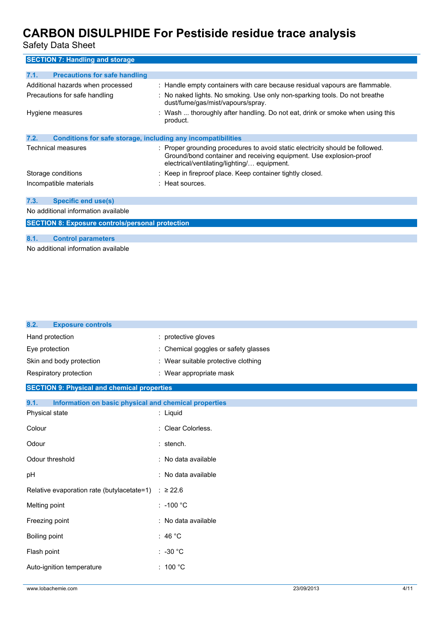Safety Data Sheet

| <b>SECTION 7: Handling and storage</b>                               |                                                                                                                                                                                                    |
|----------------------------------------------------------------------|----------------------------------------------------------------------------------------------------------------------------------------------------------------------------------------------------|
| <b>Precautions for safe handling</b><br>7.1.                         |                                                                                                                                                                                                    |
| Additional hazards when processed                                    | : Handle empty containers with care because residual vapours are flammable.                                                                                                                        |
| Precautions for safe handling                                        | : No naked lights. No smoking. Use only non-sparking tools. Do not breathe<br>dust/fume/gas/mist/vapours/spray.                                                                                    |
| Hygiene measures                                                     | : Wash  thoroughly after handling. Do not eat, drink or smoke when using this<br>product.                                                                                                          |
| Conditions for safe storage, including any incompatibilities<br>7.2. |                                                                                                                                                                                                    |
| Technical measures                                                   | : Proper grounding procedures to avoid static electricity should be followed.<br>Ground/bond container and receiving equipment. Use explosion-proof<br>electrical/ventilating/lighting/ equipment. |
| Storage conditions                                                   | : Keep in fireproof place. Keep container tightly closed.                                                                                                                                          |
| Incompatible materials                                               | : Heat sources.                                                                                                                                                                                    |
| 7.3.<br><b>Specific end use(s)</b>                                   |                                                                                                                                                                                                    |
| No additional information available                                  |                                                                                                                                                                                                    |
| <b>SECTION 8: Exposure controls/personal protection</b>              |                                                                                                                                                                                                    |
| <b>Control parameters</b><br>8.1.                                    |                                                                                                                                                                                                    |

No additional information available

| <b>Exposure controls</b><br>8.2.                              |                                      |
|---------------------------------------------------------------|--------------------------------------|
| Hand protection                                               | : protective gloves                  |
| Eye protection                                                | : Chemical goggles or safety glasses |
| Skin and body protection                                      | : Wear suitable protective clothing  |
| Respiratory protection                                        | : Wear appropriate mask              |
| <b>SECTION 9: Physical and chemical properties</b>            |                                      |
| 9.1.<br>Information on basic physical and chemical properties |                                      |
| Physical state                                                | : Liquid                             |
| Colour                                                        | : Clear Colorless.                   |
| Odour                                                         | : stench.                            |
| Odour threshold                                               | : No data available                  |
| pH                                                            | : No data available                  |
| Relative evaporation rate (butylacetate=1)                    | $\therefore$ ≥ 22.6                  |
| Melting point                                                 | $: -100 °C$                          |
| Freezing point                                                | : No data available                  |
| Boiling point                                                 | : 46 $^{\circ}$ C                    |
| Flash point                                                   | $: -30 °C$                           |
| Auto-ignition temperature                                     | : 100 $^{\circ}$ C                   |
|                                                               |                                      |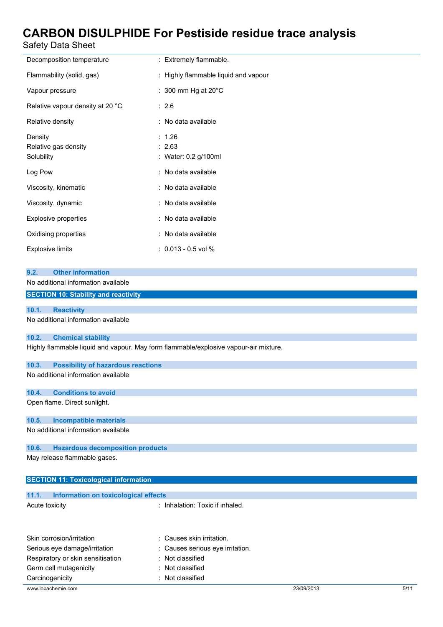## Safety Data Sheet

| Salely Dala Sheet                                                                    |                                          |  |  |  |
|--------------------------------------------------------------------------------------|------------------------------------------|--|--|--|
| Decomposition temperature                                                            | : Extremely flammable.                   |  |  |  |
| Flammability (solid, gas)                                                            | : Highly flammable liquid and vapour     |  |  |  |
| Vapour pressure                                                                      | : 300 mm Hg at 20°C                      |  |  |  |
| Relative vapour density at 20 °C                                                     | : 2.6                                    |  |  |  |
| Relative density                                                                     | : No data available                      |  |  |  |
| Density<br>Relative gas density<br>Solubility                                        | : 1.26<br>: 2.63<br>: Water: 0.2 g/100ml |  |  |  |
| Log Pow                                                                              | : No data available                      |  |  |  |
| Viscosity, kinematic                                                                 | : No data available                      |  |  |  |
| Viscosity, dynamic                                                                   | : No data available                      |  |  |  |
| <b>Explosive properties</b>                                                          | : No data available                      |  |  |  |
| Oxidising properties                                                                 | : No data available                      |  |  |  |
| <b>Explosive limits</b>                                                              | $: 0.013 - 0.5$ vol %                    |  |  |  |
|                                                                                      |                                          |  |  |  |
| <b>Other information</b><br>9.2.<br>No additional information available              |                                          |  |  |  |
| <b>SECTION 10: Stability and reactivity</b>                                          |                                          |  |  |  |
|                                                                                      |                                          |  |  |  |
| 10.1.<br><b>Reactivity</b>                                                           |                                          |  |  |  |
| No additional information available                                                  |                                          |  |  |  |
| 10.2.<br><b>Chemical stability</b>                                                   |                                          |  |  |  |
| Highly flammable liquid and vapour. May form flammable/explosive vapour-air mixture. |                                          |  |  |  |
| 10.3.<br><b>Possibility of hazardous reactions</b>                                   |                                          |  |  |  |
| No additional information available                                                  |                                          |  |  |  |
| 10.4.<br><b>Conditions to avoid</b>                                                  |                                          |  |  |  |

Open flame. Direct sunlight.

### **10.5. Incompatible materials**

#### No additional information available

#### **10.6. Hazardous decomposition products**

May release flammable gases.

### **SECTION 11: Toxicological information**

# **11.1. Information on toxicological effects**

| Acute toxicity |  |  |  |  |
|----------------|--|--|--|--|
|----------------|--|--|--|--|

: Inhalation: Toxic if inhaled.

| Skin corrosion/irritation         | : Causes skin irritation.        |            |      |
|-----------------------------------|----------------------------------|------------|------|
| Serious eye damage/irritation     | : Causes serious eye irritation. |            |      |
| Respiratory or skin sensitisation | : Not classified                 |            |      |
| Germ cell mutagenicity            | : Not classified                 |            |      |
| Carcinogenicity                   | Not classified                   |            |      |
| www.lobachemie.com                |                                  | 23/09/2013 | 5/11 |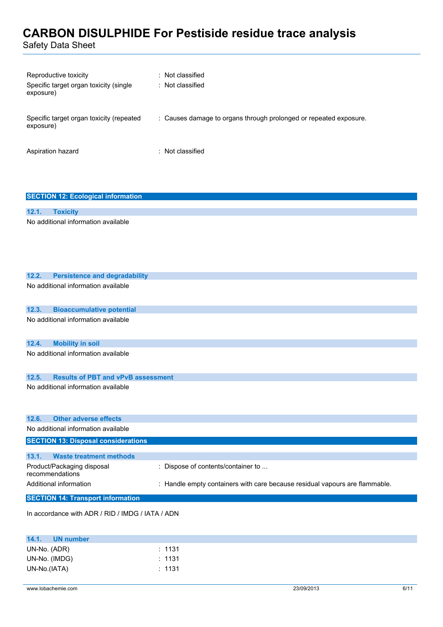Safety Data Sheet

| Reproductive toxicity<br>Specific target organ toxicity (single<br>exposure) | : Not classified<br>: Not classified                              |
|------------------------------------------------------------------------------|-------------------------------------------------------------------|
| Specific target organ toxicity (repeated<br>exposure)                        | : Causes damage to organs through prolonged or repeated exposure. |
| Aspiration hazard                                                            | $:$ Not classified                                                |

### **SECTION 12: Ecological information**

### **12.1. Toxicity** No additional information available

| 12.2. | <b>Persistence and degradability</b>             |                                                                             |
|-------|--------------------------------------------------|-----------------------------------------------------------------------------|
|       | No additional information available              |                                                                             |
| 12.3. | <b>Bioaccumulative potential</b>                 |                                                                             |
|       | No additional information available              |                                                                             |
| 12.4. | <b>Mobility in soil</b>                          |                                                                             |
|       | No additional information available              |                                                                             |
| 12.5. | <b>Results of PBT and vPvB assessment</b>        |                                                                             |
|       | No additional information available              |                                                                             |
| 12.6. | <b>Other adverse effects</b>                     |                                                                             |
|       | No additional information available              |                                                                             |
|       | <b>SECTION 13: Disposal considerations</b>       |                                                                             |
| 13.1. | <b>Waste treatment methods</b>                   |                                                                             |
|       | Product/Packaging disposal<br>recommendations    | : Dispose of contents/container to                                          |
|       | Additional information                           | : Handle empty containers with care because residual vapours are flammable. |
|       | <b>SECTION 14: Transport information</b>         |                                                                             |
|       | In accordance with ADR / RID / IMDG / IATA / ADN |                                                                             |
| 14.1. | <b>UN number</b>                                 |                                                                             |

| 14.1.        | <b>UN number</b> |                   |
|--------------|------------------|-------------------|
| UN-No. (ADR) |                  | $\therefore$ 1131 |
|              | UN-No. (IMDG)    | : 1131            |
| UN-No.(IATA) |                  | : 1131            |
|              |                  |                   |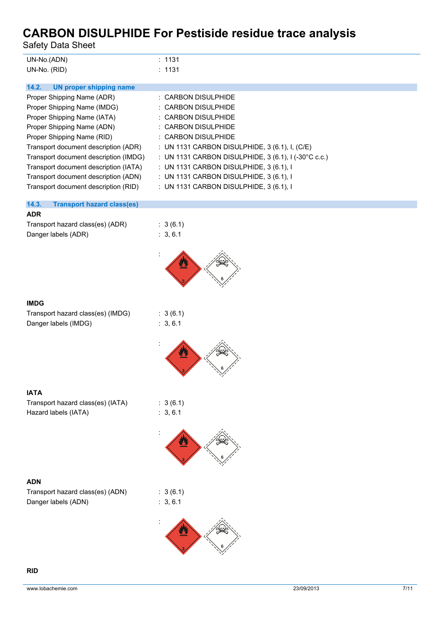Safety Data Sheet

| UN-No.(ADN)  | : 1131 |
|--------------|--------|
| UN-No. (RID) | : 1131 |

| UN proper shipping name |
|-------------------------|
|-------------------------|

| Proper Shipping Name (ADR)            | : CARBON DISULPHIDE                                             |
|---------------------------------------|-----------------------------------------------------------------|
| Proper Shipping Name (IMDG)           | : CARBON DISULPHIDE                                             |
| Proper Shipping Name (IATA)           | : CARBON DISULPHIDE                                             |
| Proper Shipping Name (ADN)            | : CARBON DISULPHIDE                                             |
| Proper Shipping Name (RID)            | : CARBON DISULPHIDE                                             |
| Transport document description (ADR)  | : UN 1131 CARBON DISULPHIDE, 3 (6.1), I, (C/E)                  |
| Transport document description (IMDG) | : UN 1131 CARBON DISULPHIDE, $3(6.1)$ , $1(-30^{\circ}$ C c.c.) |
| Transport document description (IATA) | : UN 1131 CARBON DISULPHIDE, $3(6.1)$ , I                       |
| Transport document description (ADN)  | : UN 1131 CARBON DISULPHIDE, 3 (6.1), I                         |
| Transport document description (RID)  | : UN 1131 CARBON DISULPHIDE, 3 (6.1), I                         |

### **14.3. Transport hazard class(es)**

### **ADR**

| Transport hazard class(es) (ADR) |  |
|----------------------------------|--|
| Danger labels (ADR)              |  |



### **IMDG**

Transport hazard class(es) (IMDG) : 3 (6.1) Danger labels (IMDG) is a set of the state of the state of the state of the state of the state of the state of the state of the state of the state of the state of the state of the state of the state of the state of the sta

| 3(6.1) |
|--------|
| 3, 6.1 |

 $: 3 (6.1)$  $: 3, 6.1$ 



### **IATA**

Transport hazard class(es) (IATA) : 3 (6.1) Hazard labels (IATA) : 3, 6.1



 $: 3 (6.1)$  $: 3, 6.1$ 

### **ADN**

| Transport hazard class(es) (ADN) |  |
|----------------------------------|--|
| Danger labels (ADN)              |  |

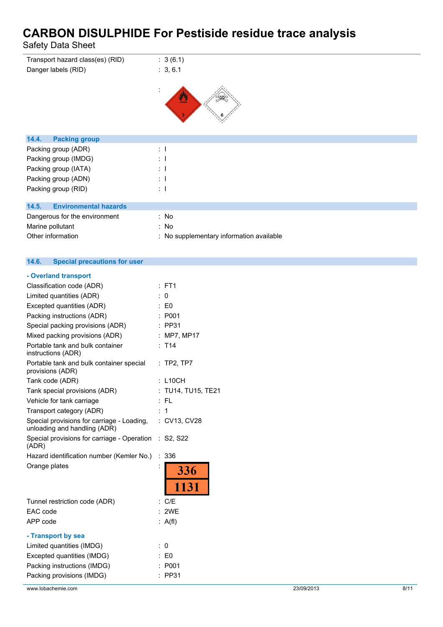Safety Data Sheet

| Transport hazard class(es) (RID)<br>Danger labels (RID) | : 3(6.1)<br>: 3, 6.1                     |
|---------------------------------------------------------|------------------------------------------|
| 14.4.<br><b>Packing group</b>                           |                                          |
| Packing group (ADR)                                     | $\therefore$ 1                           |
| Packing group (IMDG)                                    | $\pm$ 1                                  |
| Packing group (IATA)                                    | $\pm$ 1                                  |
| Packing group (ADN)                                     | $\pm$ 1                                  |
| Packing group (RID)                                     | $\therefore$ 1                           |
|                                                         |                                          |
| <b>Environmental hazards</b><br>14.5.                   |                                          |
| Dangerous for the environment                           | : No                                     |
| Marine pollutant                                        | : No                                     |
| Other information                                       | : No supplementary information available |

#### **14.6. Special precautions for user**

| - Overland transport                                                       |   |                    |
|----------------------------------------------------------------------------|---|--------------------|
| Classification code (ADR)                                                  |   | FT <sub>1</sub>    |
| Limited quantities (ADR)                                                   |   | 0                  |
| Excepted quantities (ADR)                                                  |   | : E0               |
| Packing instructions (ADR)                                                 |   | : P <sub>001</sub> |
| Special packing provisions (ADR)                                           |   | $:$ PP31           |
| Mixed packing provisions (ADR)                                             |   | : MP7, MP17        |
| Portable tank and bulk container<br>instructions (ADR)                     |   | T <sub>14</sub>    |
| Portable tank and bulk container special<br>provisions (ADR)               |   | $:$ TP2, TP7       |
| Tank code (ADR)                                                            |   | $:$ L10CH          |
| Tank special provisions (ADR)                                              |   | TU14, TU15, TE21   |
| Vehicle for tank carriage                                                  |   | : FL               |
| Transport category (ADR)                                                   |   | $\mathbf 1$        |
| Special provisions for carriage - Loading,<br>unloading and handling (ADR) |   | : CV13, CV28       |
| Special provisions for carriage - Operation : S2, S22<br>(ADR)             |   |                    |
| Hazard identification number (Kemler No.)                                  | ÷ | 336                |
| Orange plates                                                              |   | 336                |
|                                                                            |   | 1131               |
| Tunnel restriction code (ADR)                                              |   | : $C/E$            |
| EAC code                                                                   |   | : 2WE              |
| APP code                                                                   |   | : $A(f)$           |
| - Transport by sea                                                         |   |                    |
| Limited quantities (IMDG)                                                  |   | 0                  |
| Excepted quantities (IMDG)                                                 |   | : E0               |
| Packing instructions (IMDG)                                                |   | P001               |
| Packing provisions (IMDG)                                                  | ٠ | <b>PP31</b>        |
|                                                                            |   |                    |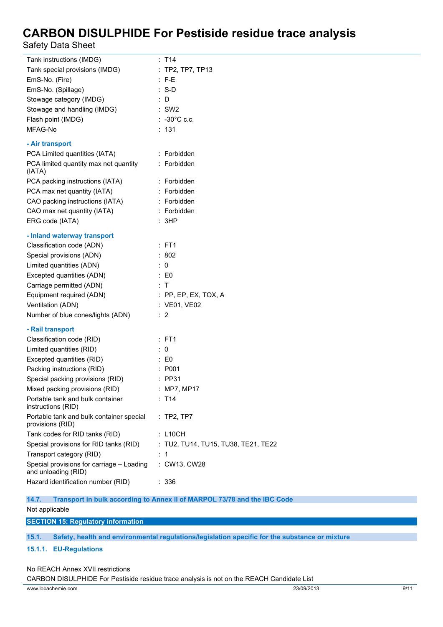Safety Data Sheet

| Tank instructions (IMDG)                                         | : T14                               |
|------------------------------------------------------------------|-------------------------------------|
| Tank special provisions (IMDG)                                   | : TP2, TP7, TP13                    |
| EmS-No. (Fire)                                                   | $\therefore$ F-E                    |
| EmS-No. (Spillage)                                               | $: S-D$                             |
| Stowage category (IMDG)                                          | $\therefore$ D                      |
| Stowage and handling (IMDG)                                      | $\therefore$ SW2                    |
| Flash point (IMDG)                                               | $\therefore$ -30°C c.c.             |
| MFAG-No                                                          | : 131                               |
| - Air transport                                                  |                                     |
| PCA Limited quantities (IATA)                                    | : Forbidden                         |
| PCA limited quantity max net quantity<br>(IATA)                  | : Forbidden                         |
| PCA packing instructions (IATA)                                  | : Forbidden                         |
| PCA max net quantity (IATA)                                      | : Forbidden                         |
| CAO packing instructions (IATA)                                  | : Forbidden                         |
| CAO max net quantity (IATA)                                      | : Forbidden                         |
| ERG code (IATA)                                                  | : 3HP                               |
| - Inland waterway transport                                      |                                     |
| Classification code (ADN)                                        | $:$ FT1                             |
| Special provisions (ADN)                                         | : 802                               |
| Limited quantities (ADN)                                         | $\therefore$ 0                      |
| Excepted quantities (ADN)                                        | $\therefore$ EO                     |
| Carriage permitted (ADN)                                         | $\therefore$ T                      |
| Equipment required (ADN)                                         | : PP, EP, EX, TOX, A                |
| Ventilation (ADN)                                                | : VE01, VE02                        |
| Number of blue cones/lights (ADN)                                | $\therefore$ 2                      |
| - Rail transport                                                 |                                     |
| Classification code (RID)                                        | : FT1                               |
| Limited quantities (RID)                                         | $\therefore$ 0                      |
| Excepted quantities (RID)                                        | $\therefore$ EO                     |
| Packing instructions (RID)                                       | : P001                              |
| Special packing provisions (RID)                                 | $:$ PP31                            |
| Mixed packing provisions (RID)                                   | : MP7, MP17                         |
| Portable tank and bulk container<br>instructions (RID)           | : T14                               |
| Portable tank and bulk container special<br>provisions (RID)     | : TP2, TP7                          |
| Tank codes for RID tanks (RID)                                   | : L10CH                             |
| Special provisions for RID tanks (RID)                           | : TU2, TU14, TU15, TU38, TE21, TE22 |
| Transport category (RID)                                         | :1                                  |
| Special provisions for carriage - Loading<br>and unloading (RID) | : CW13, CW28                        |
| Hazard identification number (RID)                               | : 336                               |

**14.7. Transport in bulk according to Annex II of MARPOL 73/78 and the IBC Code** Not applicable

**SECTION 15: Regulatory information**

**15.1. Safety, health and environmental regulations/legislation specific for the substance or mixture**

**15.1.1. EU-Regulations**

#### No REACH Annex XVII restrictions

CARBON DISULPHIDE For Pestiside residue trace analysis is not on the REACH Candidate List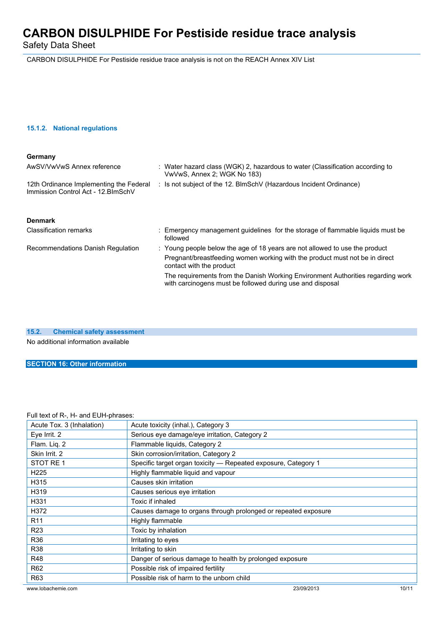Safety Data Sheet

CARBON DISULPHIDE For Pestiside residue trace analysis is not on the REACH Annex XIV List

### **15.1.2. National regulations**

| Germany                                                                        |                                                                                                                                              |
|--------------------------------------------------------------------------------|----------------------------------------------------------------------------------------------------------------------------------------------|
| AwSV/VwVwS Annex reference                                                     | : Water hazard class (WGK) 2, hazardous to water (Classification according to<br>VwVwS, Annex 2; WGK No 183)                                 |
| 12th Ordinance Implementing the Federal<br>Immission Control Act - 12. BlmSchV | : Is not subject of the 12. BlmSchV (Hazardous Incident Ordinance)                                                                           |
| <b>Denmark</b>                                                                 |                                                                                                                                              |
| <b>Classification remarks</b>                                                  | : Emergency management quidelines for the storage of flammable liquids must be<br>followed                                                   |
| Recommendations Danish Regulation                                              | : Young people below the age of 18 years are not allowed to use the product                                                                  |
|                                                                                | Pregnant/breastfeeding women working with the product must not be in direct<br>contact with the product                                      |
|                                                                                | The requirements from the Danish Working Environment Authorities regarding work<br>with carcinogens must be followed during use and disposal |

**15.2. Chemical safety assessment**

No additional information available

**SECTION 16: Other information**

### Full text of R-, H- and EUH-phrases:

| Acute Tox. 3 (Inhalation) | Acute toxicity (inhal.), Category 3                            |       |
|---------------------------|----------------------------------------------------------------|-------|
| Eye Irrit. 2              | Serious eye damage/eye irritation, Category 2                  |       |
| Flam. Liq. 2              | Flammable liquids, Category 2                                  |       |
| Skin Irrit, 2             | Skin corrosion/irritation, Category 2                          |       |
| STOT RE 1                 | Specific target organ toxicity - Repeated exposure, Category 1 |       |
| H <sub>225</sub>          | Highly flammable liquid and vapour                             |       |
| H315                      | Causes skin irritation                                         |       |
| H319                      | Causes serious eye irritation                                  |       |
| H331                      | Toxic if inhaled                                               |       |
| H372                      | Causes damage to organs through prolonged or repeated exposure |       |
| R <sub>11</sub>           | Highly flammable                                               |       |
| R <sub>23</sub>           | Toxic by inhalation                                            |       |
| R36                       | Irritating to eyes                                             |       |
| R38                       | Irritating to skin                                             |       |
| <b>R48</b>                | Danger of serious damage to health by prolonged exposure       |       |
| R <sub>62</sub>           | Possible risk of impaired fertility                            |       |
| R63                       | Possible risk of harm to the unborn child                      |       |
| www.lobachemie.com        | 23/09/2013                                                     | 10/11 |